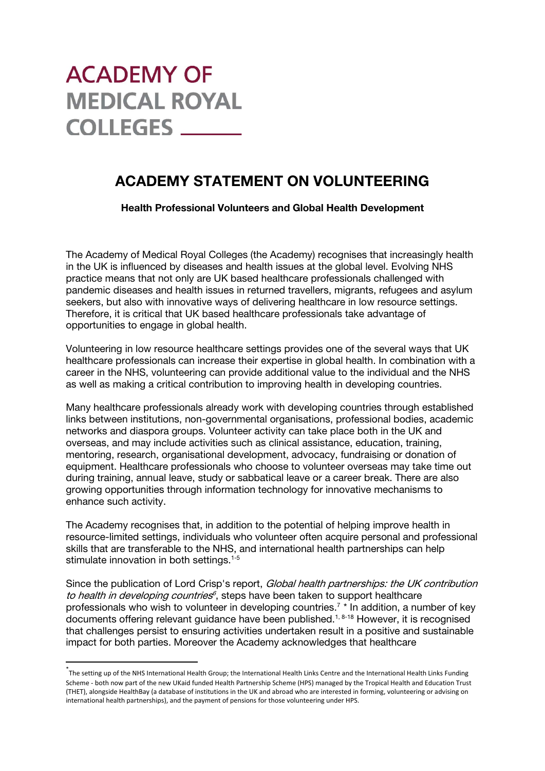# **ACADEMY OF MEDICAL ROYAL COLLEGES**

# ACADEMY STATEMENT ON VOLUNTEERING

Health Professional Volunteers and Global Health Development

The Academy of Medical Royal Colleges (the Academy) recognises that increasingly health in the UK is influenced by diseases and health issues at the global level. Evolving NHS practice means that not only are UK based healthcare professionals challenged with pandemic diseases and health issues in returned travellers, migrants, refugees and asylum seekers, but also with innovative ways of delivering healthcare in low resource settings. Therefore, it is critical that UK based healthcare professionals take advantage of opportunities to engage in global health.

Volunteering in low resource healthcare settings provides one of the several ways that UK healthcare professionals can increase their expertise in global health. In combination with a career in the NHS, volunteering can provide additional value to the individual and the NHS as well as making a critical contribution to improving health in developing countries.

Many healthcare professionals already work with developing countries through established links between institutions, non-governmental organisations, professional bodies, academic networks and diaspora groups. Volunteer activity can take place both in the UK and overseas, and may include activities such as clinical assistance, education, training, mentoring, research, organisational development, advocacy, fundraising or donation of equipment. Healthcare professionals who choose to volunteer overseas may take time out during training, annual leave, study or sabbatical leave or a career break. There are also growing opportunities through information technology for innovative mechanisms to enhance such activity.

The Academy recognises that, in addition to the potential of helping improve health in resource-limited settings, individuals who volunteer often acquire personal and professional skills that are transferable to the NHS, and international health partnerships can help stimulate innovation in both settings.<sup>1-5</sup>

Since the publication of Lord Crisp's report, Global health partnerships: the UK contribution to health in developing countries<sup>6</sup>, steps have been taken to support healthcare professionals who wish to volunteer in developing countries. <sup>7</sup> [\\*](#page-0-0) In addition, a number of key documents offering relevant guidance have been published.<sup>1, 8-18</sup> However, it is recognised that challenges persist to ensuring activities undertaken result in a positive and sustainable impact for both parties. Moreover the Academy acknowledges that healthcare

<span id="page-0-0"></span> <sup>\*</sup> The setting up of the NHS International Health Group; the International Health Links Centre and the International Health Links Funding Scheme - both now part of the new UKaid funded Health Partnership Scheme (HPS) managed by the Tropical Health and Education Trust (THET), alongside HealthBay (a database of institutions in the UK and abroad who are interested in forming, volunteering or advising on international health partnerships), and the payment of pensions for those volunteering under HPS.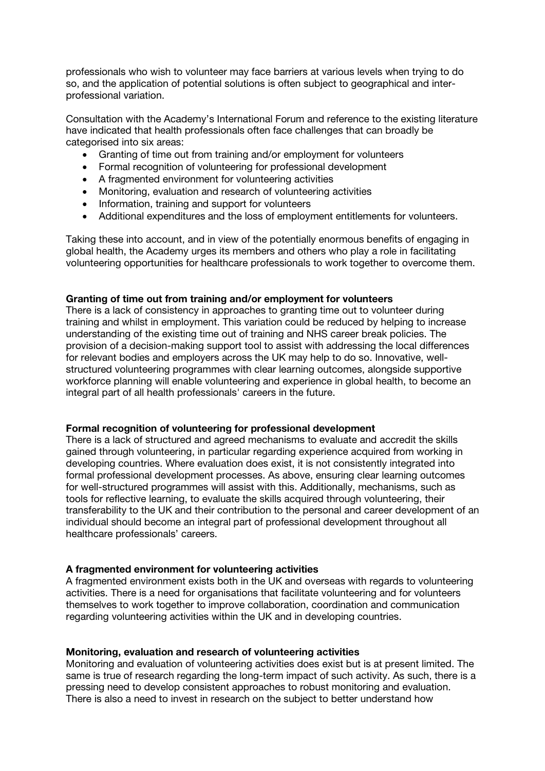professionals who wish to volunteer may face barriers at various levels when trying to do so, and the application of potential solutions is often subject to geographical and interprofessional variation.

Consultation with the Academy's International Forum and reference to the existing literature have indicated that health professionals often face challenges that can broadly be categorised into six areas:

- Granting of time out from training and/or employment for volunteers
- Formal recognition of volunteering for professional development
- A fragmented environment for volunteering activities
- Monitoring, evaluation and research of volunteering activities
- Information, training and support for volunteers
- Additional expenditures and the loss of employment entitlements for volunteers.

Taking these into account, and in view of the potentially enormous benefits of engaging in global health, the Academy urges its members and others who play a role in facilitating volunteering opportunities for healthcare professionals to work together to overcome them.

### Granting of time out from training and/or employment for volunteers

There is a lack of consistency in approaches to granting time out to volunteer during training and whilst in employment. This variation could be reduced by helping to increase understanding of the existing time out of training and NHS career break policies. The provision of a decision-making support tool to assist with addressing the local differences for relevant bodies and employers across the UK may help to do so. Innovative, wellstructured volunteering programmes with clear learning outcomes, alongside supportive workforce planning will enable volunteering and experience in global health, to become an integral part of all health professionals' careers in the future.

### Formal recognition of volunteering for professional development

There is a lack of structured and agreed mechanisms to evaluate and accredit the skills gained through volunteering, in particular regarding experience acquired from working in developing countries. Where evaluation does exist, it is not consistently integrated into formal professional development processes. As above, ensuring clear learning outcomes for well-structured programmes will assist with this. Additionally, mechanisms, such as tools for reflective learning, to evaluate the skills acquired through volunteering, their transferability to the UK and their contribution to the personal and career development of an individual should become an integral part of professional development throughout all healthcare professionals' careers.

### A fragmented environment for volunteering activities

A fragmented environment exists both in the UK and overseas with regards to volunteering activities. There is a need for organisations that facilitate volunteering and for volunteers themselves to work together to improve collaboration, coordination and communication regarding volunteering activities within the UK and in developing countries.

### Monitoring, evaluation and research of volunteering activities

Monitoring and evaluation of volunteering activities does exist but is at present limited. The same is true of research regarding the long-term impact of such activity. As such, there is a pressing need to develop consistent approaches to robust monitoring and evaluation. There is also a need to invest in research on the subject to better understand how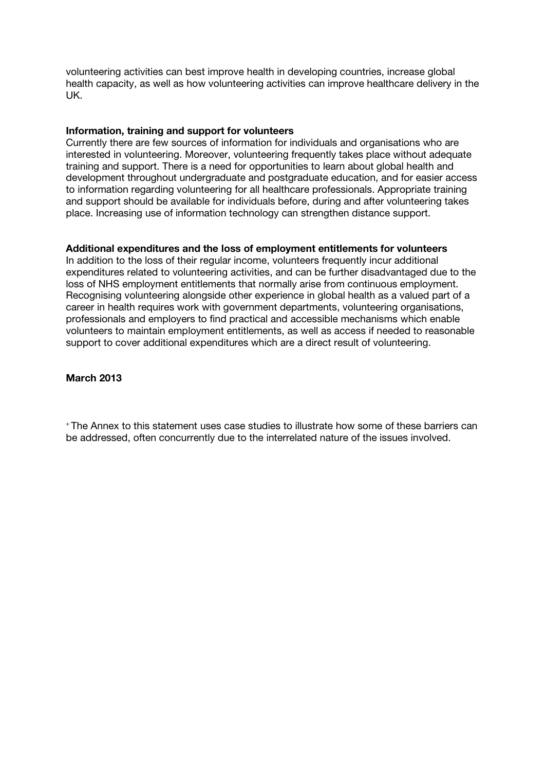volunteering activities can best improve health in developing countries, increase global health capacity, as well as how volunteering activities can improve healthcare delivery in the UK.

### Information, training and support for volunteers

Currently there are few sources of information for individuals and organisations who are interested in volunteering. Moreover, volunteering frequently takes place without adequate training and support. There is a need for opportunities to learn about global health and development throughout undergraduate and postgraduate education, and for easier access to information regarding volunteering for all healthcare professionals. Appropriate training and support should be available for individuals before, during and after volunteering takes place. Increasing use of information technology can strengthen distance support.

#### Additional expenditures and the loss of employment entitlements for volunteers

In addition to the loss of their regular income, volunteers frequently incur additional expenditures related to volunteering activities, and can be further disadvantaged due to the loss of NHS employment entitlements that normally arise from continuous employment. Recognising volunteering alongside other experience in global health as a valued part of a career in health requires work with government departments, volunteering organisations, professionals and employers to find practical and accessible mechanisms which enable volunteers to maintain employment entitlements, as well as access if needed to reasonable support to cover additional expenditures which are a direct result of volunteering.

#### March 2013

+ The Annex to this statement uses case studies to illustrate how some of these barriers can be addressed, often concurrently due to the interrelated nature of the issues involved.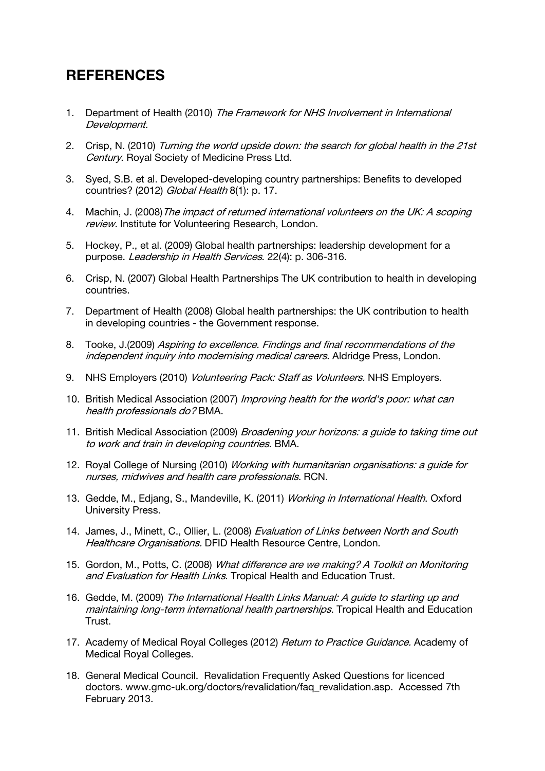# **REFERENCES**

- 1. Department of Health (2010) The Framework for NHS Involvement in International Development.
- 2. Crisp, N. (2010) Turning the world upside down: the search for global health in the 21st Century. Royal Society of Medicine Press Ltd.
- 3. Syed, S.B. et al. Developed-developing country partnerships: Benefits to developed countries? (2012) Global Health 8(1): p. 17.
- 4. Machin, J. (2008) The impact of returned international volunteers on the UK: A scoping review. Institute for Volunteering Research, London.
- 5. Hockey, P., et al. (2009) Global health partnerships: leadership development for a purpose. Leadership in Health Services. 22(4): p. 306-316.
- 6. Crisp, N. (2007) Global Health Partnerships The UK contribution to health in developing countries.
- 7. Department of Health (2008) Global health partnerships: the UK contribution to health in developing countries - the Government response.
- 8. Tooke, J.(2009) Aspiring to excellence. Findings and final recommendations of the independent inquiry into modernising medical careers. Aldridge Press, London.
- 9. NHS Employers (2010) *Volunteering Pack: Staff as Volunteers*. NHS Employers.
- 10. British Medical Association (2007) Improving health for the world's poor: what can health professionals do? BMA.
- 11. British Medical Association (2009) *Broadening your horizons: a quide to taking time out* to work and train in developing countries. BMA.
- 12. Royal College of Nursing (2010) Working with humanitarian organisations: a guide for nurses, midwives and health care professionals. RCN.
- 13. Gedde, M., Edjang, S., Mandeville, K. (2011) Working in International Health. Oxford University Press.
- 14. James, J., Minett, C., Ollier, L. (2008) Evaluation of Links between North and South Healthcare Organisations. DFID Health Resource Centre, London.
- 15. Gordon, M., Potts, C. (2008) What difference are we making? A Toolkit on Monitoring and Evaluation for Health Links. Tropical Health and Education Trust.
- 16. Gedde, M. (2009) The International Health Links Manual: A guide to starting up and maintaining long-term international health partnerships. Tropical Health and Education Trust.
- 17. Academy of Medical Royal Colleges (2012) *Return to Practice Guidance*. Academy of Medical Royal Colleges.
- 18. General Medical Council. Revalidation Frequently Asked Questions for licenced doctors. www.gmc-uk.org/doctors/revalidation/faq\_revalidation.asp. Accessed 7th February 2013.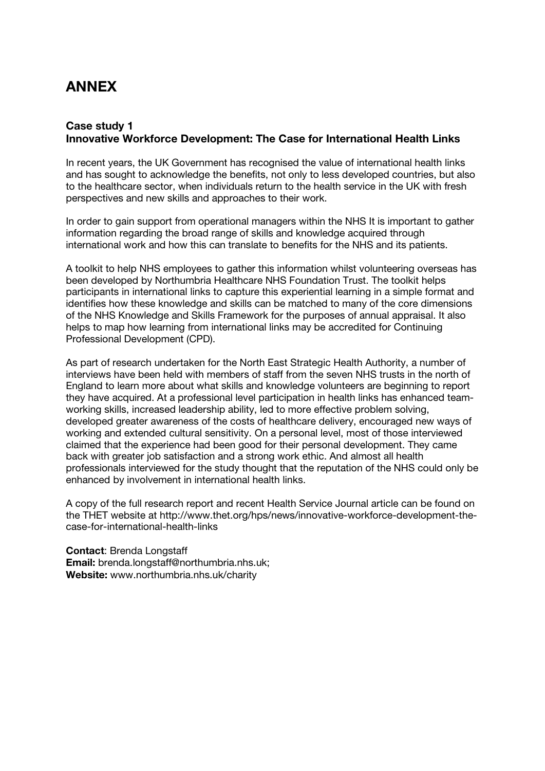# ANNEX

# Case study 1 Innovative Workforce Development: The Case for International Health Links

In recent years, the UK Government has recognised the value of international health links and has sought to acknowledge the benefits, not only to less developed countries, but also to the healthcare sector, when individuals return to the health service in the UK with fresh perspectives and new skills and approaches to their work.

In order to gain support from operational managers within the NHS It is important to gather information regarding the broad range of skills and knowledge acquired through international work and how this can translate to benefits for the NHS and its patients.

A toolkit to help NHS employees to gather this information whilst volunteering overseas has been developed by Northumbria Healthcare NHS Foundation Trust. The toolkit helps participants in international links to capture this experiential learning in a simple format and identifies how these knowledge and skills can be matched to many of the core dimensions of the NHS Knowledge and Skills Framework for the purposes of annual appraisal. It also helps to map how learning from international links may be accredited for Continuing Professional Development (CPD).

As part of research undertaken for the North East Strategic Health Authority, a number of interviews have been held with members of staff from the seven NHS trusts in the north of England to learn more about what skills and knowledge volunteers are beginning to report they have acquired. At a professional level participation in health links has enhanced teamworking skills, increased leadership ability, led to more effective problem solving, developed greater awareness of the costs of healthcare delivery, encouraged new ways of working and extended cultural sensitivity. On a personal level, most of those interviewed claimed that the experience had been good for their personal development. They came back with greater job satisfaction and a strong work ethic. And almost all health professionals interviewed for the study thought that the reputation of the NHS could only be enhanced by involvement in international health links.

A copy of the full research report and recent Health Service Journal article can be found on the THET website at http://www.thet.org/hps/news/innovative-workforce-development-thecase-for-international-health-links

Contact: Brenda Longstaff Email: brenda.longstaff@northumbria.nhs.uk; Website: www.northumbria.nhs.uk/charity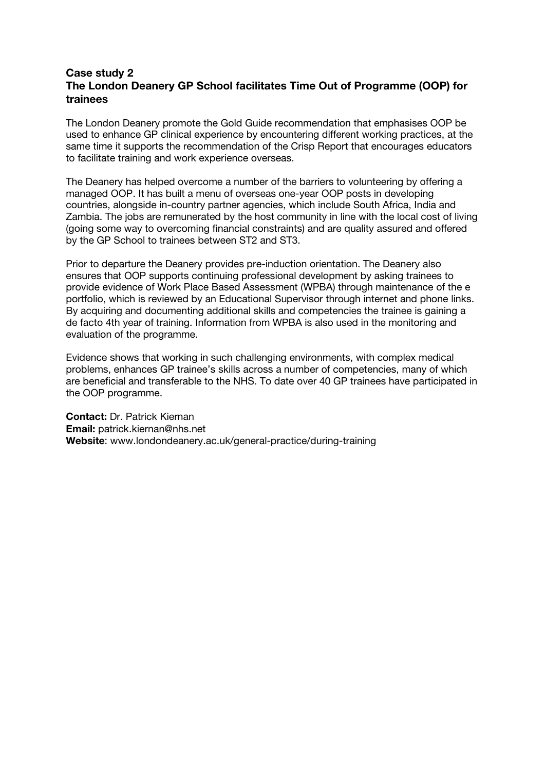## Case study 2 The London Deanery GP School facilitates Time Out of Programme (OOP) for trainees

The London Deanery promote the Gold Guide recommendation that emphasises OOP be used to enhance GP clinical experience by encountering different working practices, at the same time it supports the recommendation of the Crisp Report that encourages educators to facilitate training and work experience overseas.

The Deanery has helped overcome a number of the barriers to volunteering by offering a managed OOP. It has built a menu of overseas one-year OOP posts in developing countries, alongside in-country partner agencies, which include South Africa, India and Zambia. The jobs are remunerated by the host community in line with the local cost of living (going some way to overcoming financial constraints) and are quality assured and offered by the GP School to trainees between ST2 and ST3.

Prior to departure the Deanery provides pre-induction orientation. The Deanery also ensures that OOP supports continuing professional development by asking trainees to provide evidence of Work Place Based Assessment (WPBA) through maintenance of the e portfolio, which is reviewed by an Educational Supervisor through internet and phone links. By acquiring and documenting additional skills and competencies the trainee is gaining a de facto 4th year of training. Information from WPBA is also used in the monitoring and evaluation of the programme.

Evidence shows that working in such challenging environments, with complex medical problems, enhances GP trainee's skills across a number of competencies, many of which are beneficial and transferable to the NHS. To date over 40 GP trainees have participated in the OOP programme.

Contact: Dr. Patrick Kiernan Email: patrick.kiernan@nhs.net Website: www.londondeanery.ac.uk/general-practice/during-training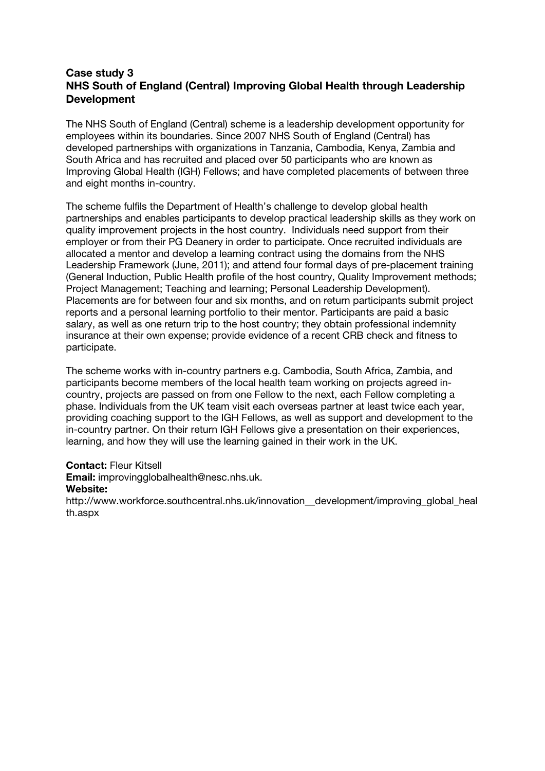# Case study 3 NHS South of England (Central) Improving Global Health through Leadership Development

The NHS South of England (Central) scheme is a leadership development opportunity for employees within its boundaries. Since 2007 NHS South of England (Central) has developed partnerships with organizations in Tanzania, Cambodia, Kenya, Zambia and South Africa and has recruited and placed over 50 participants who are known as Improving Global Health (IGH) Fellows; and have completed placements of between three and eight months in-country.

The scheme fulfils the Department of Health's challenge to develop global health partnerships and enables participants to develop practical leadership skills as they work on quality improvement projects in the host country. Individuals need support from their employer or from their PG Deanery in order to participate. Once recruited individuals are allocated a mentor and develop a learning contract using the domains from the NHS Leadership Framework (June, 2011); and attend four formal days of pre-placement training (General Induction, Public Health profile of the host country, Quality Improvement methods; Project Management; Teaching and learning; Personal Leadership Development). Placements are for between four and six months, and on return participants submit project reports and a personal learning portfolio to their mentor. Participants are paid a basic salary, as well as one return trip to the host country; they obtain professional indemnity insurance at their own expense; provide evidence of a recent CRB check and fitness to participate.

The scheme works with in-country partners e.g. Cambodia, South Africa, Zambia, and participants become members of the local health team working on projects agreed incountry, projects are passed on from one Fellow to the next, each Fellow completing a phase. Individuals from the UK team visit each overseas partner at least twice each year, providing coaching support to the IGH Fellows, as well as support and development to the in-country partner. On their return IGH Fellows give a presentation on their experiences, learning, and how they will use the learning gained in their work in the UK.

### Contact: Fleur Kitsell

Email: improvingglobalhealth@nesc.nhs.uk.

### Website:

http://www.workforce.southcentral.nhs.uk/innovation\_development/improving\_global\_heal th.aspx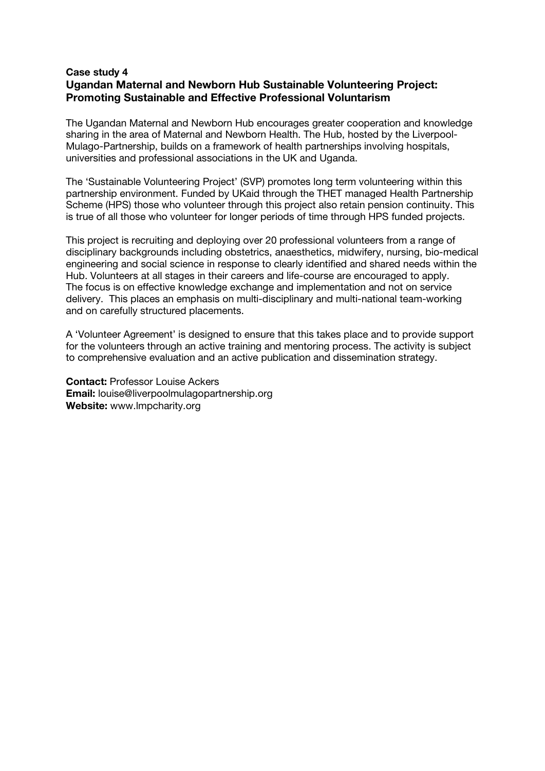### Case study 4 Ugandan Maternal and Newborn Hub Sustainable Volunteering Project: Promoting Sustainable and Effective Professional Voluntarism

The Ugandan Maternal and Newborn Hub encourages greater cooperation and knowledge sharing in the area of Maternal and Newborn Health. The Hub, hosted by the Liverpool-Mulago-Partnership, builds on a framework of health partnerships involving hospitals, universities and professional associations in the UK and Uganda.

The 'Sustainable Volunteering Project' (SVP) promotes long term volunteering within this partnership environment. Funded by UKaid through the THET managed Health Partnership Scheme (HPS) those who volunteer through this project also retain pension continuity. This is true of all those who volunteer for longer periods of time through HPS funded projects.

This project is recruiting and deploying over 20 professional volunteers from a range of disciplinary backgrounds including obstetrics, anaesthetics, midwifery, nursing, bio-medical engineering and social science in response to clearly identified and shared needs within the Hub. Volunteers at all stages in their careers and life-course are encouraged to apply. The focus is on effective knowledge exchange and implementation and not on service delivery. This places an emphasis on multi-disciplinary and multi-national team-working and on carefully structured placements.

A 'Volunteer Agreement' is designed to ensure that this takes place and to provide support for the volunteers through an active training and mentoring process. The activity is subject to comprehensive evaluation and an active publication and dissemination strategy.

Contact: Professor Louise Ackers Email: louise@liverpoolmulagopartnership.org Website: www.lmpcharity.org